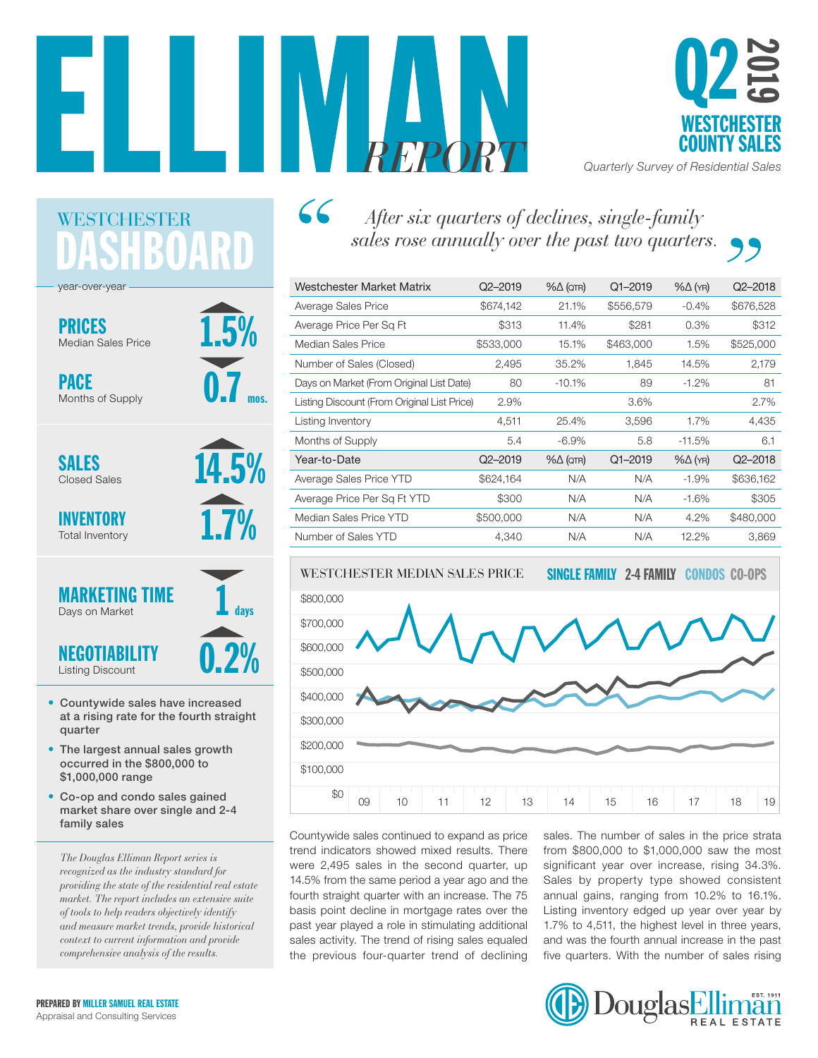



*REPORT Quarterly Survey of Residential Sales*

## SHBOAI WESTCHESTER

1.5%

0.7

mos.

14.5%

1.7%

0.2%

1

days

year-over-year

PRICES Median Sales Price

PACE Months of Supply

SALES Closed Sales

INVENTORY Total Inventory



NEGOTIABI Listing Discount

- Countywide sales have increased at a rising rate for the fourth straight quarter
- The largest annual sales growth occurred in the \$800,000 to \$1,000,000 range
- Co-op and condo sales gained market share over single and 2-4 family sales

*The Douglas Elliman Report series is recognized as the industry standard for providing the state of the residential real estate market. The report includes an extensive suite of tools to help readers objectively identify and measure market trends, provide historical context to current information and provide comprehensive analysis of the results.*

## $66$ *After six quarters of declines, single-family sales rose annually over the past two quarters.*

| Westchester Market Matrix                   | $Q2 - 2019$ | $% \triangle (QTR)$ | $Q1 - 2019$ | $% \triangle (YR)$ | $Q2 - 2018$ |
|---------------------------------------------|-------------|---------------------|-------------|--------------------|-------------|
| Average Sales Price                         | \$674,142   | 21.1%               | \$556,579   | $-0.4\%$           | \$676,528   |
| Average Price Per Sq Ft                     | \$313       | 11.4%               | \$281       | 0.3%               | \$312       |
| Median Sales Price                          | \$533,000   | 15.1%               | \$463,000   | 1.5%               | \$525,000   |
| Number of Sales (Closed)                    | 2,495       | 35.2%               | 1,845       | 14.5%              | 2,179       |
| Days on Market (From Original List Date)    | 80          | $-10.1%$            | 89          | $-1.2%$            | 81          |
| Listing Discount (From Original List Price) | 2.9%        |                     | 3.6%        |                    | 2.7%        |
| Listing Inventory                           | 4,511       | 25.4%               | 3,596       | 1.7%               | 4,435       |
| Months of Supply                            | 5.4         | $-6.9\%$            | 5.8         | $-11.5%$           | 6.1         |
| Year-to-Date                                | $Q2 - 2019$ | $\% \Delta$ (QTR)   | $Q1 - 2019$ | $% \triangle (YR)$ | $Q2 - 2018$ |
| Average Sales Price YTD                     | \$624,164   | N/A                 | N/A         | $-1.9\%$           | \$636,162   |
| Average Price Per Sq Ft YTD                 | \$300       | N/A                 | N/A         | $-1.6%$            | \$305       |
| Median Sales Price YTD                      | \$500,000   | N/A                 | N/A         | 4.2%               | \$480,000   |
| Number of Sales YTD                         | 4,340       | N/A                 | N/A         | 12.2%              | 3,869       |



Countywide sales continued to expand as price trend indicators showed mixed results. There were 2,495 sales in the second quarter, up 14.5% from the same period a year ago and the Sales by property type showed consiste fourth straight quarter with an increase. The 75 basis point decline in mortgage rates over the past year played a role in stimulating additional sales activity. The trend of rising sales equaled the previous four-quarter trend of declining

sales. The number of sales in the price strata from \$800,000 to \$1,000,000 saw the most significant year over increase, rising 34.3%. Sales by property type showed consistent annual gains, ranging from 10.2% to 16.1%. Listing inventory edged up year over year by 1.7% to 4,511, the highest level in three years, and was the fourth annual increase in the past five quarters. With the number of sales rising

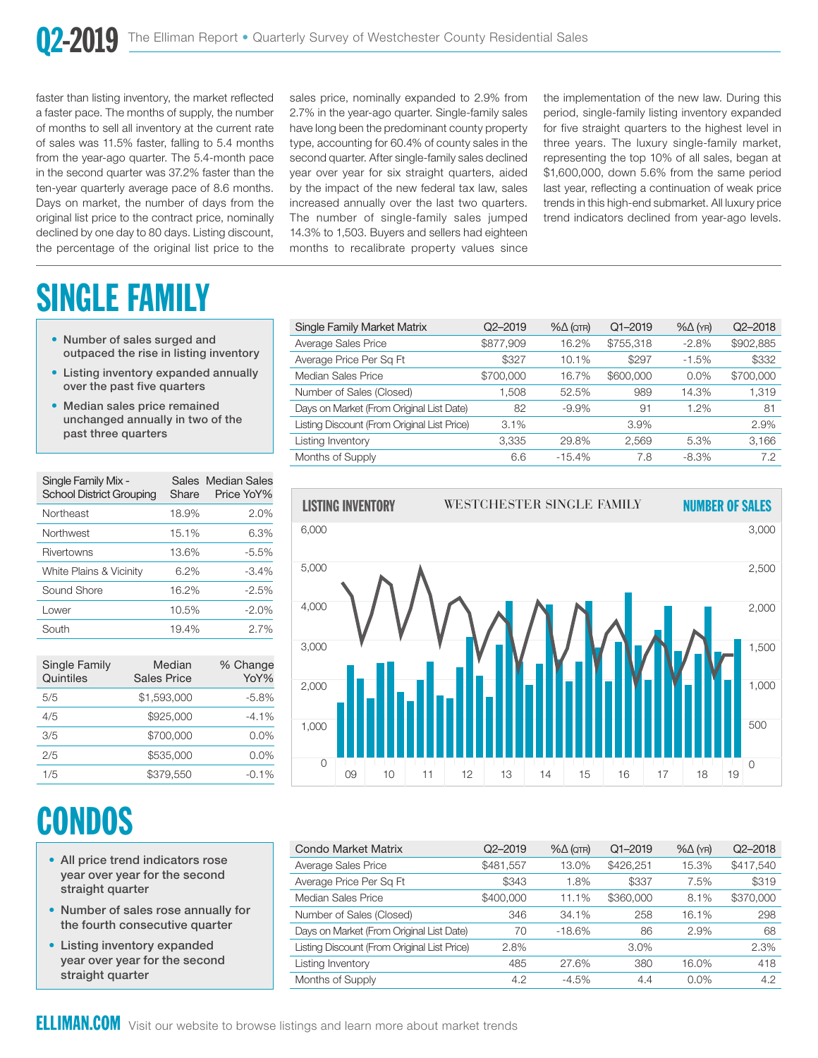\$600,000

faster than listing inventory, the market reflected a faster pace. The months of supply, the number of months to sell all inventory at the current rate of sales was 11.5% faster, falling to 5.4 months from the year-ago quarter. The 5.4-month pace in the second quarter was 37.2% faster than the ten-year quarterly average pace of 8.6 months. Days on market, the number of days from the original list price to the contract price, nominally declined by one day to 80 days. Listing discount, the percentage of the original list price to the

months to recalibrate property values since The number of single-family sales jumped sales price, nominally expanded to 2.9% from 2.7% in the year-ago quarter. Single-family sales have long been the predominant county property type, accounting for 60.4% of county sales in the second quarter. After single-family sales declined year over year for six straight quarters, aided by the impact of the new federal tax law, sales increased annually over the last two quarters. 14.3% to 1,503. Buyers and sellers had eighteen

the impact of the new lederal tax law, sales and year, relieding a continuation of wear price<br>treased annually over the last two quarters. If then this high-end submarket. All luxury price the implementation of the new law. During this period, single-family listing inventory expanded for five straight quarters to the highest level in three years. The luxury single-family market, representing the top 10% of all sales, began at \$1,600,000, down 5.6% from the same period last year, reflecting a continuation of weak price trend indicators declined from year-ago levels.

# SINGLE FA

- Number of sales surged and outpaced the rise in listing inventory
- Listing inventory expanded annually over the past five quarters
- Median sales price remained unchanged annually in two of the past three quarters

| Single Family Mix -<br><b>School District Grouping</b> | Share | Sales Median Sales<br>Price YoY% |
|--------------------------------------------------------|-------|----------------------------------|
| Northeast                                              | 18.9% | 2.0%                             |
| Northwest                                              | 15.1% | 6.3%                             |
| Rivertowns                                             | 13.6% | $-5.5%$                          |
| White Plains & Vicinity                                | 6.2%  | $-3.4\%$                         |
| Sound Shore                                            | 16.2% | $-2.5%$                          |
| Lower                                                  | 10.5% | $-2.0\%$                         |
| South                                                  | 19.4% | $2.7\%$                          |

| Single Family<br>Quintiles | Median<br><b>Sales Price</b> | % Change<br>YoY% |
|----------------------------|------------------------------|------------------|
| 5/5                        | \$1,593,000                  | $-5.8%$          |
| 4/5                        | \$925,000                    | $-4.1\%$         |
| 3/5                        | \$700,000                    | $0.0\%$          |
| 2/5                        | \$535,000                    | $0.0\%$          |
| 1/5                        | \$379.550                    | $-0.1%$          |

# **CONDOS**

- All price trend indicators rose year over year for the second straight quarter
- Number of sales rose annually for the fourth consecutive quarter
- Listing inventory expanded year over year for the second straight quarter

| Single Family Market Matrix                 | $Q2 - 2019$ | $% \triangle (QTR)$ | $Q1 - 2019$ | $% \triangle (YR)$ | $Q2 - 2018$ |
|---------------------------------------------|-------------|---------------------|-------------|--------------------|-------------|
| Average Sales Price                         | \$877,909   | 16.2%               | \$755,318   | $-2.8%$            | \$902,885   |
| Average Price Per Sq Ft                     | \$327       | 10.1%               | \$297       | $-1.5%$            | \$332       |
| Median Sales Price                          | \$700,000   | 16.7%               | \$600,000   | $0.0\%$            | \$700,000   |
| Number of Sales (Closed)                    | 1.508       | 52.5%               | 989         | 14.3%              | 1,319       |
| Days on Market (From Original List Date)    | 82          | $-9.9\%$            | 91          | 1.2%               | 81          |
| Listing Discount (From Original List Price) | 3.1%        |                     | 3.9%        |                    | 2.9%        |
| Listing Inventory                           | 3.335       | 29.8%               | 2,569       | 5.3%               | 3,166       |
| Months of Supply                            | 6.6         | $-15.4%$            | 7.8         | $-8.3\%$           | 7.2         |



| <b>Condo Market Matrix</b>                  | Q2-2019   | $% \triangle (QTR)$ | $Q1 - 2019$ | $% \triangle (YR)$ | $Q2 - 2018$ |
|---------------------------------------------|-----------|---------------------|-------------|--------------------|-------------|
| Average Sales Price                         | \$481,557 | 13.0%               | \$426,251   | 15.3%              | \$417,540   |
| Average Price Per Sq Ft                     | \$343     | 1.8%                | \$337       | 7.5%               | \$319       |
| Median Sales Price                          | \$400,000 | 11.1%               | \$360,000   | 8.1%               | \$370,000   |
| Number of Sales (Closed)                    | 346       | 34.1%               | 258         | 16.1%              | 298         |
| Days on Market (From Original List Date)    | 70        | $-18.6%$            | 86          | 2.9%               | 68          |
| Listing Discount (From Original List Price) | 2.8%      |                     | 3.0%        |                    | 2.3%        |
| Listing Inventory                           | 485       | 27.6%               | 380         | 16.0%              | 418         |
| Months of Supply                            | 4.2       | $-4.5\%$            | 4.4         | $0.0\%$            | 4.2         |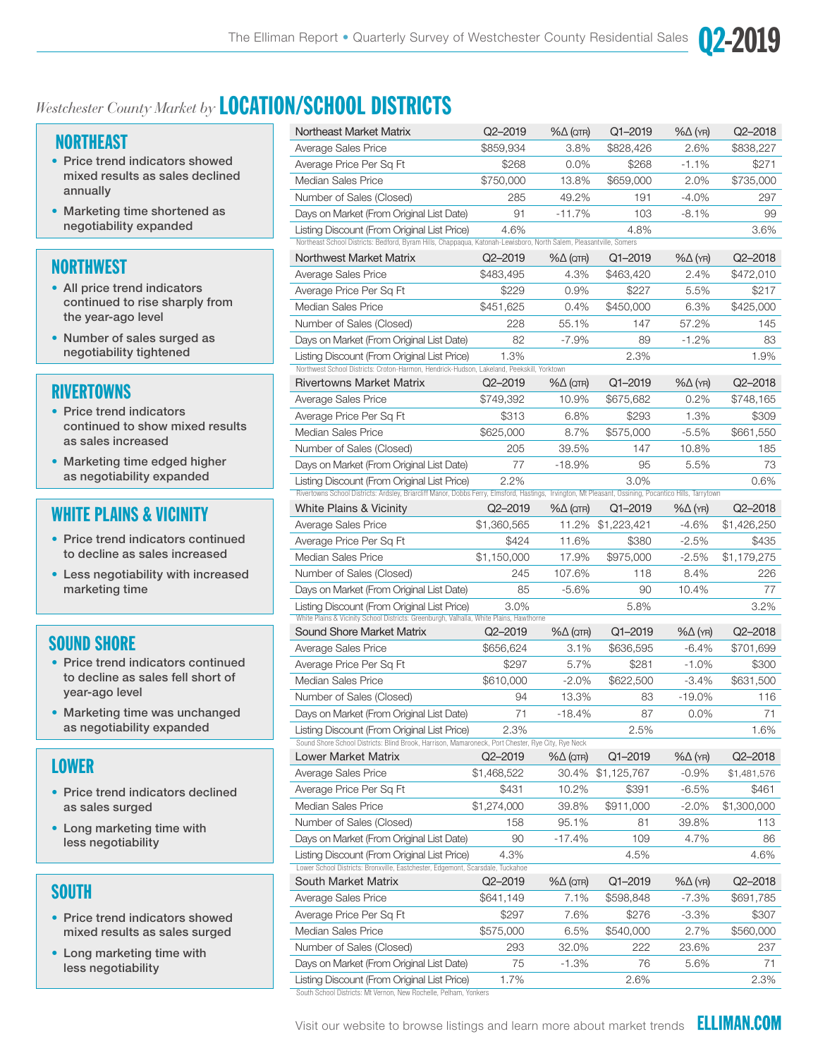

## *Westchester County Market by* LOCATION/SCHOOL DISTRICTS

## NORTHEAST

- Price trend indicators showed mixed results as sales declined annually
- Marketing time shortened as negotiability expanded

## **NORTHWEST**

- All price trend indicators continued to rise sharply from the year-ago level
- Number of sales surged as negotiability tightened

## **RIVERTOWNS**

- Price trend indicators continued to show mixed results as sales increased
- Marketing time edged higher as negotiability expanded

## WHITE PLAINS & VICINITY

- Price trend indicators continued to decline as sales increased
- Less negotiability with increased marketing time

## SOUND SHORE

- Price trend indicators continued to decline as sales fell short of year-ago level
- Marketing time was unchanged as negotiability expanded

## LOWER

- Price trend indicators declined as sales surged
- Long marketing time with less negotiability

## **SOUTH**

- Price trend indicators showed mixed results as sales surged
- Long marketing time with less negotiability

| Northeast Market Matrix                                                                                                                                                                              | Q2-2019     | $% \triangle (QTR)$ | Q1-2019     | $% \triangle (YR)$ | Q2-2018     |
|------------------------------------------------------------------------------------------------------------------------------------------------------------------------------------------------------|-------------|---------------------|-------------|--------------------|-------------|
| Average Sales Price                                                                                                                                                                                  | \$859,934   | 3.8%                | \$828,426   | 2.6%               | \$838,227   |
| Average Price Per Sq Ft                                                                                                                                                                              | \$268       | 0.0%                | \$268       | $-1.1%$            | \$271       |
| <b>Median Sales Price</b>                                                                                                                                                                            | \$750,000   | 13.8%               | \$659,000   | 2.0%               | \$735,000   |
| Number of Sales (Closed)                                                                                                                                                                             | 285         | 49.2%               | 191         | -4.0%              | 297         |
| Days on Market (From Original List Date)                                                                                                                                                             | 91          | -11.7%              | 103         | $-8.1\%$           | 99          |
| Listing Discount (From Original List Price)<br>Northeast School Districts: Bedford, Byram Hills, Chappaqua, Katonah-Lewisboro, North Salem, Pleasantville, Somers                                    | 4.6%        |                     | 4.8%        |                    | 3.6%        |
| Northwest Market Matrix                                                                                                                                                                              | Q2-2019     | $% \triangle (QTR)$ | Q1-2019     | $% \triangle (YR)$ | Q2-2018     |
| Average Sales Price                                                                                                                                                                                  | \$483,495   | 4.3%                | \$463,420   | 2.4%               | \$472,010   |
| Average Price Per Sq Ft                                                                                                                                                                              | \$229       | 0.9%                | \$227       | 5.5%               | \$217       |
| <b>Median Sales Price</b>                                                                                                                                                                            | \$451,625   | 0.4%                | \$450,000   | 6.3%               | \$425,000   |
| Number of Sales (Closed)                                                                                                                                                                             | 228         | 55.1%               | 147         | 57.2%              | 145         |
| Days on Market (From Original List Date)                                                                                                                                                             | 82          | $-7.9%$             | 89          | $-1.2%$            | 83          |
| Listing Discount (From Original List Price)                                                                                                                                                          | 1.3%        |                     | 2.3%        |                    | 1.9%        |
| Northwest School Districts: Croton-Harmon, Hendrick-Hudson, Lakeland, Peekskill, Yorktown                                                                                                            |             |                     |             |                    |             |
| <b>Rivertowns Market Matrix</b>                                                                                                                                                                      | $Q2 - 2019$ | $% \triangle (QTR)$ | Q1-2019     | $% \triangle (YR)$ | Q2-2018     |
| Average Sales Price                                                                                                                                                                                  | \$749,392   | 10.9%               | \$675,682   | 0.2%               | \$748,165   |
| Average Price Per Sg Ft                                                                                                                                                                              | \$313       | 6.8%                | \$293       | 1.3%               | \$309       |
| <b>Median Sales Price</b>                                                                                                                                                                            | \$625,000   | 8.7%                | \$575,000   | $-5.5%$            | \$661,550   |
| Number of Sales (Closed)                                                                                                                                                                             | 205         | 39.5%               | 147         | 10.8%              | 185         |
| Days on Market (From Original List Date)                                                                                                                                                             | 77          | $-18.9%$            | 95          | 5.5%               | 73          |
| Listing Discount (From Original List Price)<br>Rivertowns School Districts: Ardsley, Briarcliff Manor, Dobbs Ferry, Elmsford, Hastings, Irvington, Mt Pleasant, Ossining, Pocantico Hills, Tarrytown | 2.2%        |                     | 3.0%        |                    | 0.6%        |
| <b>White Plains &amp; Vicinity</b>                                                                                                                                                                   | Q2-2019     | $% \triangle (QTR)$ | Q1-2019     | $% \triangle (YR)$ | Q2-2018     |
| Average Sales Price                                                                                                                                                                                  | \$1,360,565 | 11.2%               | \$1,223,421 | $-4.6%$            | \$1,426,250 |
| Average Price Per Sq Ft                                                                                                                                                                              | \$424       | 11.6%               | \$380       | $-2.5%$            | \$435       |
| <b>Median Sales Price</b>                                                                                                                                                                            | \$1,150,000 | 17.9%               | \$975,000   | $-2.5%$            | \$1,179,275 |
| Number of Sales (Closed)                                                                                                                                                                             | 245         | 107.6%              | 118         | 8.4%               | 226         |
| Days on Market (From Original List Date)                                                                                                                                                             | 85          | $-5.6%$             | 90          | 10.4%              | 77          |
| Listing Discount (From Original List Price)<br>White Plains & Vicinity School Districts: Greenburgh, Valhalla, White Plains, Hawthorne                                                               | $3.0\%$     |                     | 5.8%        |                    | 3.2%        |
| Sound Shore Market Matrix                                                                                                                                                                            | $Q2 - 2019$ | $% \triangle (QTR)$ | Q1-2019     | $% \triangle (YR)$ | Q2-2018     |
| Average Sales Price                                                                                                                                                                                  | \$656,624   | 3.1%                | \$636,595   | $-6.4%$            | \$701,699   |
| Average Price Per Sq Ft                                                                                                                                                                              | \$297       | 5.7%                | \$281       | $-1.0%$            | \$300       |
| <b>Median Sales Price</b>                                                                                                                                                                            | \$610,000   | $-2.0%$             | \$622,500   | $-3.4%$            | \$631,500   |
| Number of Sales (Closed)                                                                                                                                                                             | 94          | 13.3%               | 83          | $-19.0\%$          | 116         |
| Days on Market (From Original List Date)                                                                                                                                                             | 71          | $-18.4%$            | 87          | 0.0%               | 71          |
| Listing Discount (From Original List Price)<br>Sound Shore School Districts: Blind Brook, Harrison, Mamaroneck, Port Chester, Rye City, Rye Neck                                                     | 2.3%        |                     | 2.5%        |                    | 1.6%        |
| Lower Market Matrix                                                                                                                                                                                  | Q2-2019     | $\% \Delta$ (QTR)   | Q1-2019     | $% \triangle (YR)$ | Q2-2018     |
| Average Sales Price                                                                                                                                                                                  | \$1,468,522 | 30.4%               | \$1,125,767 | $-0.9%$            | \$1,481,576 |
| Average Price Per Sg Ft                                                                                                                                                                              | \$431       | 10.2%               | \$391       | -6.5%              | \$461       |
| Median Sales Price                                                                                                                                                                                   | \$1,274,000 | 39.8%               | \$911,000   | $-2.0\%$           | \$1,300,000 |
| Number of Sales (Closed)                                                                                                                                                                             | 158         | 95.1%               | 81          | 39.8%              | 113         |
| Days on Market (From Original List Date)                                                                                                                                                             | 90          | -17.4%              | 109         | 4.7%               | 86          |
| Listing Discount (From Original List Price)                                                                                                                                                          | 4.3%        |                     | 4.5%        |                    | 4.6%        |
| Lower School Districts: Bronxville, Eastchester, Edgemont, Scarsdale, Tuckahoe                                                                                                                       |             |                     |             |                    |             |
| South Market Matrix                                                                                                                                                                                  | Q2-2019     | $% \triangle (QTR)$ | Q1-2019     | $% \triangle (YR)$ | Q2-2018     |
| Average Sales Price                                                                                                                                                                                  | \$641,149   | 7.1%                | \$598,848   | -7.3%              | \$691,785   |
| Average Price Per Sq Ft                                                                                                                                                                              | \$297       | 7.6%                | \$276       | $-3.3%$            | \$307       |
| <b>Median Sales Price</b>                                                                                                                                                                            | \$575,000   | 6.5%                | \$540,000   | 2.7%               | \$560,000   |
| Number of Sales (Closed)                                                                                                                                                                             | 293         | 32.0%               | 222         | 23.6%              | 237         |
| Days on Market (From Original List Date)                                                                                                                                                             | 75          | $-1.3%$             | 76          | 5.6%               | 71          |
| Listing Discount (From Original List Price)                                                                                                                                                          | 1.7%        |                     | 2.6%        |                    | 2.3%        |

South School Districts: Mt Vernon, New Rochelle, Pelham, Yonkers